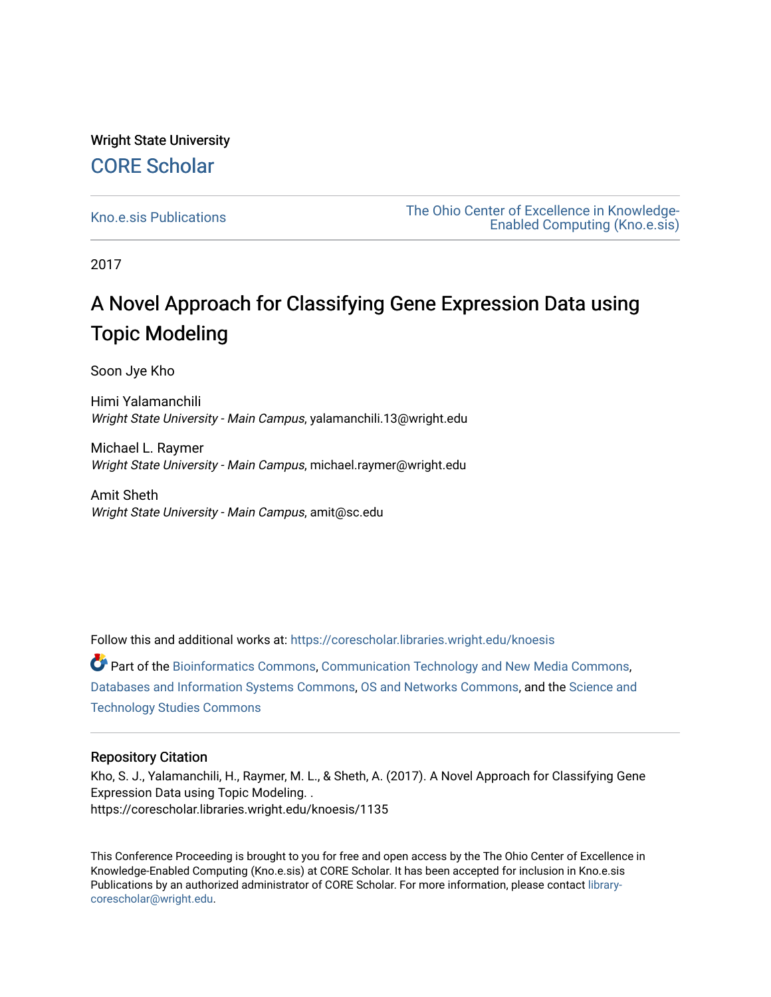# Wright State University [CORE Scholar](https://corescholar.libraries.wright.edu/)

[Kno.e.sis Publications](https://corescholar.libraries.wright.edu/knoesis) [The Ohio Center of Excellence in Knowledge-](https://corescholar.libraries.wright.edu/knoesis_comm)[Enabled Computing \(Kno.e.sis\)](https://corescholar.libraries.wright.edu/knoesis_comm) 

2017

# A Novel Approach for Classifying Gene Expression Data using Topic Modeling

Soon Jye Kho

Himi Yalamanchili Wright State University - Main Campus, yalamanchili.13@wright.edu

Michael L. Raymer Wright State University - Main Campus, michael.raymer@wright.edu

Amit Sheth Wright State University - Main Campus, amit@sc.edu

Follow this and additional works at: [https://corescholar.libraries.wright.edu/knoesis](https://corescholar.libraries.wright.edu/knoesis?utm_source=corescholar.libraries.wright.edu%2Fknoesis%2F1135&utm_medium=PDF&utm_campaign=PDFCoverPages) 

Part of the [Bioinformatics Commons,](http://network.bepress.com/hgg/discipline/110?utm_source=corescholar.libraries.wright.edu%2Fknoesis%2F1135&utm_medium=PDF&utm_campaign=PDFCoverPages) [Communication Technology and New Media Commons,](http://network.bepress.com/hgg/discipline/327?utm_source=corescholar.libraries.wright.edu%2Fknoesis%2F1135&utm_medium=PDF&utm_campaign=PDFCoverPages) [Databases and Information Systems Commons](http://network.bepress.com/hgg/discipline/145?utm_source=corescholar.libraries.wright.edu%2Fknoesis%2F1135&utm_medium=PDF&utm_campaign=PDFCoverPages), [OS and Networks Commons](http://network.bepress.com/hgg/discipline/149?utm_source=corescholar.libraries.wright.edu%2Fknoesis%2F1135&utm_medium=PDF&utm_campaign=PDFCoverPages), and the [Science and](http://network.bepress.com/hgg/discipline/435?utm_source=corescholar.libraries.wright.edu%2Fknoesis%2F1135&utm_medium=PDF&utm_campaign=PDFCoverPages) [Technology Studies Commons](http://network.bepress.com/hgg/discipline/435?utm_source=corescholar.libraries.wright.edu%2Fknoesis%2F1135&utm_medium=PDF&utm_campaign=PDFCoverPages) 

# Repository Citation

Kho, S. J., Yalamanchili, H., Raymer, M. L., & Sheth, A. (2017). A Novel Approach for Classifying Gene Expression Data using Topic Modeling. . https://corescholar.libraries.wright.edu/knoesis/1135

This Conference Proceeding is brought to you for free and open access by the The Ohio Center of Excellence in Knowledge-Enabled Computing (Kno.e.sis) at CORE Scholar. It has been accepted for inclusion in Kno.e.sis Publications by an authorized administrator of CORE Scholar. For more information, please contact [library](mailto:library-corescholar@wright.edu)[corescholar@wright.edu](mailto:library-corescholar@wright.edu).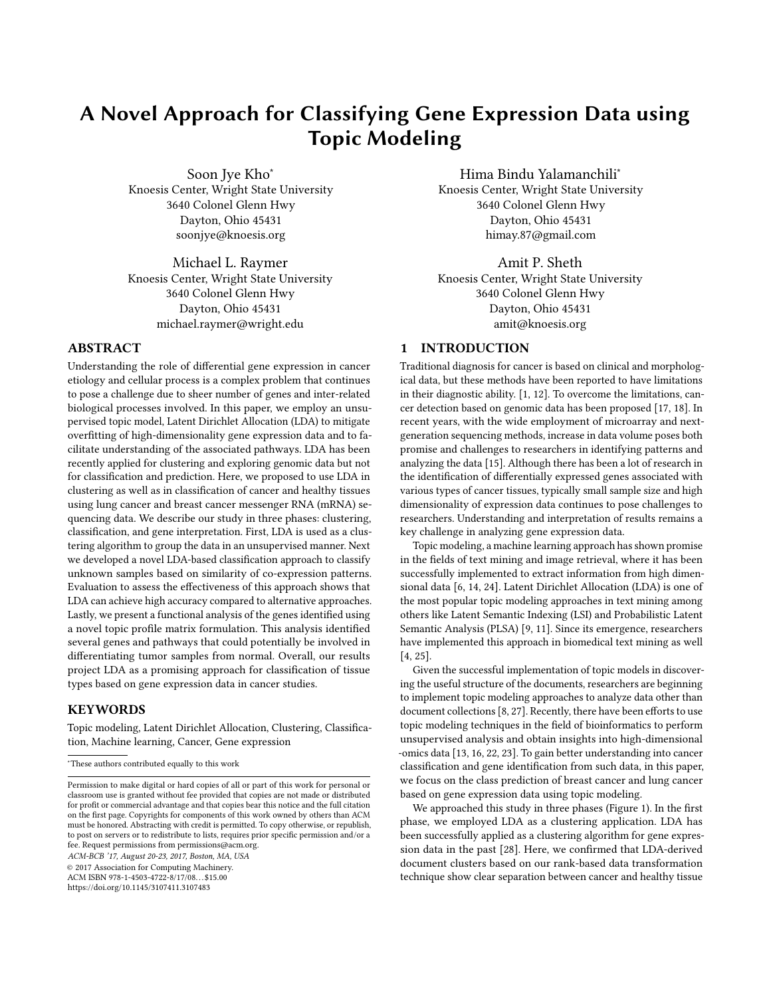# A Novel Approach for Classifying Gene Expression Data using Topic Modeling

Soon Jye Kho<sup>∗</sup> Knoesis Center, Wright State University 3640 Colonel Glenn Hwy Dayton, Ohio 45431 soonjye@knoesis.org

Michael L. Raymer Knoesis Center, Wright State University 3640 Colonel Glenn Hwy Dayton, Ohio 45431 michael.raymer@wright.edu

#### ABSTRACT

Understanding the role of differential gene expression in cancer etiology and cellular process is a complex problem that continues to pose a challenge due to sheer number of genes and inter-related biological processes involved. In this paper, we employ an unsupervised topic model, Latent Dirichlet Allocation (LDA) to mitigate overfitting of high-dimensionality gene expression data and to facilitate understanding of the associated pathways. LDA has been recently applied for clustering and exploring genomic data but not for classification and prediction. Here, we proposed to use LDA in clustering as well as in classification of cancer and healthy tissues using lung cancer and breast cancer messenger RNA (mRNA) sequencing data. We describe our study in three phases: clustering, classification, and gene interpretation. First, LDA is used as a clustering algorithm to group the data in an unsupervised manner. Next we developed a novel LDA-based classification approach to classify unknown samples based on similarity of co-expression patterns. Evaluation to assess the effectiveness of this approach shows that LDA can achieve high accuracy compared to alternative approaches. Lastly, we present a functional analysis of the genes identified using a novel topic profile matrix formulation. This analysis identified several genes and pathways that could potentially be involved in differentiating tumor samples from normal. Overall, our results project LDA as a promising approach for classification of tissue types based on gene expression data in cancer studies.

#### KEYWORDS

Topic modeling, Latent Dirichlet Allocation, Clustering, Classification, Machine learning, Cancer, Gene expression

ACM-BCB '17, August 20-23, 2017, Boston, MA, USA

© 2017 Association for Computing Machinery. ACM ISBN 978-1-4503-4722-8/17/08. . . \$15.00

<https://doi.org/10.1145/3107411.3107483>

Hima Bindu Yalamanchili<sup>∗</sup> Knoesis Center, Wright State University 3640 Colonel Glenn Hwy Dayton, Ohio 45431 himay.87@gmail.com

Amit P. Sheth Knoesis Center, Wright State University 3640 Colonel Glenn Hwy Dayton, Ohio 45431 amit@knoesis.org

## 1 INTRODUCTION

Traditional diagnosis for cancer is based on clinical and morphological data, but these methods have been reported to have limitations in their diagnostic ability. [\[1,](#page-6-0) [12\]](#page-6-1). To overcome the limitations, cancer detection based on genomic data has been proposed [\[17,](#page-6-2) [18\]](#page-6-3). In recent years, with the wide employment of microarray and nextgeneration sequencing methods, increase in data volume poses both promise and challenges to researchers in identifying patterns and analyzing the data [\[15\]](#page-6-4). Although there has been a lot of research in the identification of differentially expressed genes associated with various types of cancer tissues, typically small sample size and high dimensionality of expression data continues to pose challenges to researchers. Understanding and interpretation of results remains a key challenge in analyzing gene expression data.

Topic modeling, a machine learning approach has shown promise in the fields of text mining and image retrieval, where it has been successfully implemented to extract information from high dimensional data [\[6,](#page-6-5) [14,](#page-6-6) [24\]](#page-6-7). Latent Dirichlet Allocation (LDA) is one of the most popular topic modeling approaches in text mining among others like Latent Semantic Indexing (LSI) and Probabilistic Latent Semantic Analysis (PLSA) [\[9,](#page-6-8) [11\]](#page-6-9). Since its emergence, researchers have implemented this approach in biomedical text mining as well [\[4,](#page-6-10) [25\]](#page-6-11).

Given the successful implementation of topic models in discovering the useful structure of the documents, researchers are beginning to implement topic modeling approaches to analyze data other than document collections [\[8,](#page-6-12) [27\]](#page-6-13). Recently, there have been efforts to use topic modeling techniques in the field of bioinformatics to perform unsupervised analysis and obtain insights into high-dimensional -omics data [\[13,](#page-6-14) [16,](#page-6-15) [22,](#page-6-16) [23\]](#page-6-17). To gain better understanding into cancer classification and gene identification from such data, in this paper, we focus on the class prediction of breast cancer and lung cancer based on gene expression data using topic modeling.

We approached this study in three phases (Figure [1\)](#page-3-0). In the first phase, we employed LDA as a clustering application. LDA has been successfully applied as a clustering algorithm for gene expression data in the past [\[28\]](#page-6-18). Here, we confirmed that LDA-derived document clusters based on our rank-based data transformation technique show clear separation between cancer and healthy tissue

<sup>∗</sup>These authors contributed equally to this work

Permission to make digital or hard copies of all or part of this work for personal or classroom use is granted without fee provided that copies are not made or distributed for profit or commercial advantage and that copies bear this notice and the full citation on the first page. Copyrights for components of this work owned by others than ACM must be honored. Abstracting with credit is permitted. To copy otherwise, or republish, to post on servers or to redistribute to lists, requires prior specific permission and/or a fee. Request permissions from permissions@acm.org.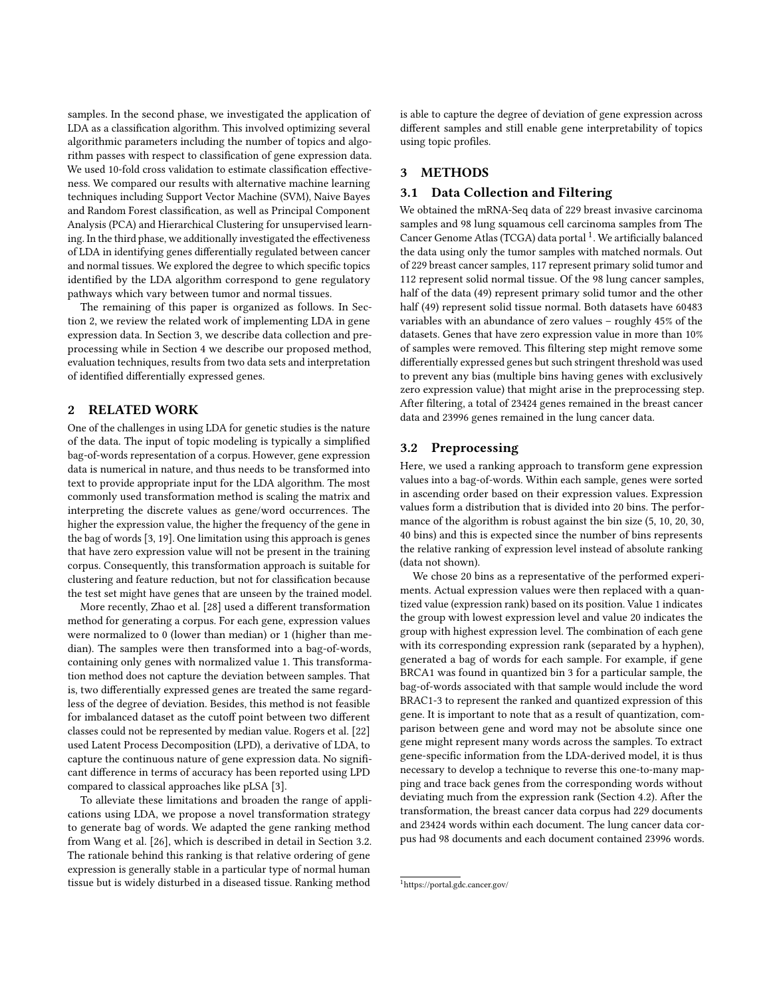samples. In the second phase, we investigated the application of LDA as a classification algorithm. This involved optimizing several algorithmic parameters including the number of topics and algorithm passes with respect to classification of gene expression data. We used 10-fold cross validation to estimate classification effectiveness. We compared our results with alternative machine learning techniques including Support Vector Machine (SVM), Naive Bayes and Random Forest classification, as well as Principal Component Analysis (PCA) and Hierarchical Clustering for unsupervised learning. In the third phase, we additionally investigated the effectiveness of LDA in identifying genes differentially regulated between cancer and normal tissues. We explored the degree to which specific topics identified by the LDA algorithm correspond to gene regulatory pathways which vary between tumor and normal tissues.

The remaining of this paper is organized as follows. In Section 2, we review the related work of implementing LDA in gene expression data. In Section 3, we describe data collection and preprocessing while in Section 4 we describe our proposed method, evaluation techniques, results from two data sets and interpretation of identified differentially expressed genes.

## 2 RELATED WORK

One of the challenges in using LDA for genetic studies is the nature of the data. The input of topic modeling is typically a simplified bag-of-words representation of a corpus. However, gene expression data is numerical in nature, and thus needs to be transformed into text to provide appropriate input for the LDA algorithm. The most commonly used transformation method is scaling the matrix and interpreting the discrete values as gene/word occurrences. The higher the expression value, the higher the frequency of the gene in the bag of words [\[3,](#page-6-19) [19\]](#page-6-20). One limitation using this approach is genes that have zero expression value will not be present in the training corpus. Consequently, this transformation approach is suitable for clustering and feature reduction, but not for classification because the test set might have genes that are unseen by the trained model.

More recently, Zhao et al. [\[28\]](#page-6-18) used a different transformation method for generating a corpus. For each gene, expression values were normalized to 0 (lower than median) or 1 (higher than median). The samples were then transformed into a bag-of-words, containing only genes with normalized value 1. This transformation method does not capture the deviation between samples. That is, two differentially expressed genes are treated the same regardless of the degree of deviation. Besides, this method is not feasible for imbalanced dataset as the cutoff point between two different classes could not be represented by median value. Rogers et al. [\[22\]](#page-6-16) used Latent Process Decomposition (LPD), a derivative of LDA, to capture the continuous nature of gene expression data. No significant difference in terms of accuracy has been reported using LPD compared to classical approaches like pLSA [\[3\]](#page-6-19).

To alleviate these limitations and broaden the range of applications using LDA, we propose a novel transformation strategy to generate bag of words. We adapted the gene ranking method from Wang et al. [\[26\]](#page-6-21), which is described in detail in Section [3.2.](#page-2-0) The rationale behind this ranking is that relative ordering of gene expression is generally stable in a particular type of normal human tissue but is widely disturbed in a diseased tissue. Ranking method

is able to capture the degree of deviation of gene expression across different samples and still enable gene interpretability of topics using topic profiles.

### 3 METHODS

#### 3.1 Data Collection and Filtering

We obtained the mRNA-Seq data of 229 breast invasive carcinoma samples and 98 lung squamous cell carcinoma samples from The Cancer Genome Atlas (TCGA) data portal <sup>[1](#page-2-1)</sup>. We artificially balanced the data using only the tumor samples with matched normals. Out of 229 breast cancer samples, 117 represent primary solid tumor and 112 represent solid normal tissue. Of the 98 lung cancer samples, half of the data (49) represent primary solid tumor and the other half (49) represent solid tissue normal. Both datasets have 60483 variables with an abundance of zero values – roughly 45% of the datasets. Genes that have zero expression value in more than 10% of samples were removed. This filtering step might remove some differentially expressed genes but such stringent threshold was used to prevent any bias (multiple bins having genes with exclusively zero expression value) that might arise in the preprocessing step. After filtering, a total of 23424 genes remained in the breast cancer data and 23996 genes remained in the lung cancer data.

### <span id="page-2-0"></span>3.2 Preprocessing

Here, we used a ranking approach to transform gene expression values into a bag-of-words. Within each sample, genes were sorted in ascending order based on their expression values. Expression values form a distribution that is divided into 20 bins. The performance of the algorithm is robust against the bin size (5, 10, 20, 30, 40 bins) and this is expected since the number of bins represents the relative ranking of expression level instead of absolute ranking (data not shown).

We chose 20 bins as a representative of the performed experiments. Actual expression values were then replaced with a quantized value (expression rank) based on its position. Value 1 indicates the group with lowest expression level and value 20 indicates the group with highest expression level. The combination of each gene with its corresponding expression rank (separated by a hyphen), generated a bag of words for each sample. For example, if gene BRCA1 was found in quantized bin 3 for a particular sample, the bag-of-words associated with that sample would include the word BRAC1-3 to represent the ranked and quantized expression of this gene. It is important to note that as a result of quantization, comparison between gene and word may not be absolute since one gene might represent many words across the samples. To extract gene-specific information from the LDA-derived model, it is thus necessary to develop a technique to reverse this one-to-many mapping and trace back genes from the corresponding words without deviating much from the expression rank (Section [4.2\)](#page-4-0). After the transformation, the breast cancer data corpus had 229 documents and 23424 words within each document. The lung cancer data corpus had 98 documents and each document contained 23996 words.

<span id="page-2-1"></span><sup>1</sup>https://portal.gdc.cancer.gov/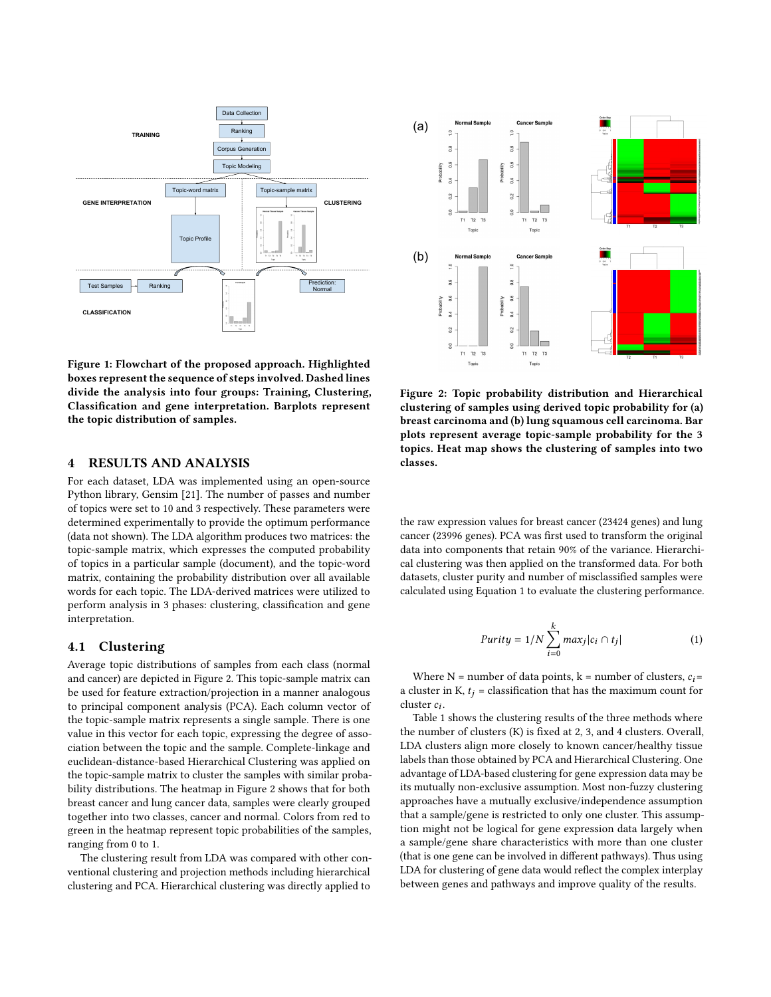<span id="page-3-0"></span>

Figure 1: Flowchart of the proposed approach. Highlighted boxes represent the sequence of steps involved. Dashed lines divide the analysis into four groups: Training, Clustering, Classification and gene interpretation. Barplots represent the topic distribution of samples.

#### 4 RESULTS AND ANALYSIS

For each dataset, LDA was implemented using an open-source Python library, Gensim [\[21\]](#page-6-22). The number of passes and number of topics were set to 10 and 3 respectively. These parameters were determined experimentally to provide the optimum performance (data not shown). The LDA algorithm produces two matrices: the topic-sample matrix, which expresses the computed probability of topics in a particular sample (document), and the topic-word matrix, containing the probability distribution over all available words for each topic. The LDA-derived matrices were utilized to perform analysis in 3 phases: clustering, classification and gene interpretation.

### 4.1 Clustering

Average topic distributions of samples from each class (normal and cancer) are depicted in Figure [2.](#page-3-1) This topic-sample matrix can be used for feature extraction/projection in a manner analogous to principal component analysis (PCA). Each column vector of the topic-sample matrix represents a single sample. There is one value in this vector for each topic, expressing the degree of association between the topic and the sample. Complete-linkage and euclidean-distance-based Hierarchical Clustering was applied on the topic-sample matrix to cluster the samples with similar probability distributions. The heatmap in Figure [2](#page-3-1) shows that for both breast cancer and lung cancer data, samples were clearly grouped together into two classes, cancer and normal. Colors from red to green in the heatmap represent topic probabilities of the samples, ranging from 0 to 1.

The clustering result from LDA was compared with other conventional clustering and projection methods including hierarchical clustering and PCA. Hierarchical clustering was directly applied to

<span id="page-3-1"></span>

Figure 2: Topic probability distribution and Hierarchical clustering of samples using derived topic probability for (a) breast carcinoma and (b) lung squamous cell carcinoma. Bar plots represent average topic-sample probability for the 3 topics. Heat map shows the clustering of samples into two classes.

the raw expression values for breast cancer (23424 genes) and lung cancer (23996 genes). PCA was first used to transform the original data into components that retain 90% of the variance. Hierarchical clustering was then applied on the transformed data. For both datasets, cluster purity and number of misclassified samples were calculated using Equation [1](#page-3-2) to evaluate the clustering performance.

<span id="page-3-2"></span>
$$
Purity = 1/N \sum_{i=0}^{k} max_j |c_i \cap t_j|
$$
 (1)

Where N = number of data points,  $k =$  number of clusters,  $c_i =$ a cluster in K,  $t_i$  = classification that has the maximum count for  $\frac{c}{\text{c}_i}}$  cluster  $c_i$ .

Table [1](#page-4-1) shows the clustering results of the three methods where the number of clusters (K) is fixed at 2, 3, and 4 clusters. Overall, LDA clusters align more closely to known cancer/healthy tissue labels than those obtained by PCA and Hierarchical Clustering. One advantage of LDA-based clustering for gene expression data may be its mutually non-exclusive assumption. Most non-fuzzy clustering approaches have a mutually exclusive/independence assumption that a sample/gene is restricted to only one cluster. This assumption might not be logical for gene expression data largely when a sample/gene share characteristics with more than one cluster (that is one gene can be involved in different pathways). Thus using LDA for clustering of gene data would reflect the complex interplay between genes and pathways and improve quality of the results.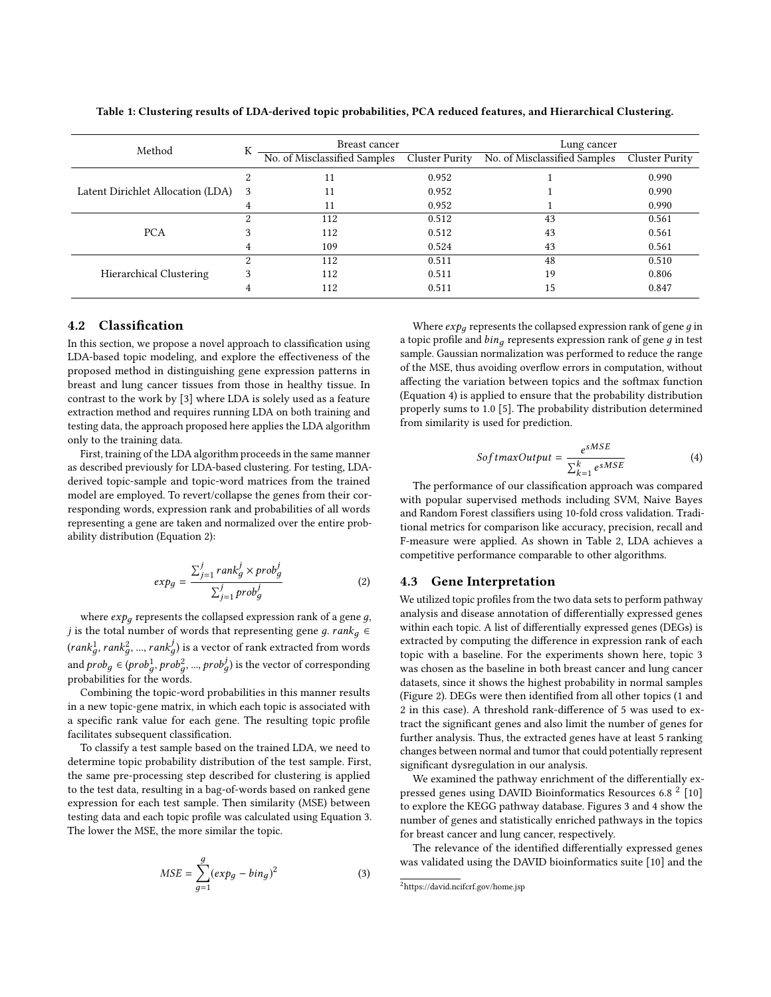| Method                            | Κ | Breast cancer                |                | Lung cancer                  |                |  |
|-----------------------------------|---|------------------------------|----------------|------------------------------|----------------|--|
|                                   |   | No. of Misclassified Samples | Cluster Purity | No. of Misclassified Samples | Cluster Purity |  |
|                                   |   | 11                           | 0.952          |                              | 0.990          |  |
| Latent Dirichlet Allocation (LDA) | 3 | 11                           | 0.952          |                              | 0.990          |  |
|                                   | 4 | 11                           | 0.952          |                              | 0.990          |  |
|                                   |   | 112                          | 0.512          | 43                           | 0.561          |  |
| <b>PCA</b>                        | 3 | 112                          | 0.512          | 43                           | 0.561          |  |
|                                   | 4 | 109                          | 0.524          | 43                           | 0.561          |  |
|                                   |   | 112                          | 0.511          | 48                           | 0.510          |  |
| <b>Hierarchical Clustering</b>    | 3 | 112                          | 0.511          | 19                           | 0.806          |  |
|                                   | 4 | 112                          | 0.511          | 15                           | 0.847          |  |

<span id="page-4-1"></span>Table 1: Clustering results of LDA-derived topic probabilities, PCA reduced features, and Hierarchical Clustering.

#### <span id="page-4-0"></span>4.2 Classification

In this section, we propose a novel approach to classification using LDA-based topic modeling, and explore the effectiveness of the proposed method in distinguishing gene expression patterns in breast and lung cancer tissues from those in healthy tissue. In contrast to the work by [\[3\]](#page-6-19) where LDA is solely used as a feature extraction method and requires running LDA on both training and testing data, the approach proposed here applies the LDA algorithm only to the training data.

First, training of the LDA algorithm proceeds in the same manner as described previously for LDA-based clustering. For testing, LDAderived topic-sample and topic-word matrices from the trained model are employed. To revert/collapse the genes from their corresponding words, expression rank and probabilities of all words representing a gene are taken and normalized over the entire probability distribution (Equation [2\)](#page-4-2):

<span id="page-4-2"></span>
$$
exp_g = \frac{\sum_{j=1}^{j} rank_g^{j} \times prob_g^{j}}{\sum_{j=1}^{j} prob_g^{j}}
$$
 (2)

where  $exp<sub>q</sub>$  represents the collapsed expression rank of a gene  $q$ , j is the total number of words that representing gene g. rank $q \in$  $(rank_g^1, rank_g^2, ..., rank_g^j)$  is a vector of rank extracted from words and  $\frac{1}{\rho}$   $\int \rho^2$  ( $prob_g^1$ ,  $prob_g^2$ , ...,  $prob_g^j$ ) is the vector of corresponding д д probabilities for the words.

Combining the topic-word probabilities in this manner results in a new topic-gene matrix, in which each topic is associated with a specific rank value for each gene. The resulting topic profile facilitates subsequent classification.

To classify a test sample based on the trained LDA, we need to determine topic probability distribution of the test sample. First, the same pre-processing step described for clustering is applied to the test data, resulting in a bag-of-words based on ranked gene expression for each test sample. Then similarity (MSE) between testing data and each topic profile was calculated using Equation [3.](#page-4-3) The lower the MSE, the more similar the topic.

<span id="page-4-3"></span>
$$
MSE = \sum_{g=1}^{g} (exp_g - bin_g)^2
$$
 (3)

Where  $exp_q$  represents the collapsed expression rank of gene  $g$  in a topic profile and  $\sin a$  represents expression rank of gene  $q$  in test sample. Gaussian normalization was performed to reduce the range of the MSE, thus avoiding overflow errors in computation, without affecting the variation between topics and the softmax function (Equation [4\)](#page-4-4) is applied to ensure that the probability distribution properly sums to 1.0 [\[5\]](#page-6-23). The probability distribution determined from similarity is used for prediction.

<span id="page-4-4"></span>
$$
SoftmaxOutput = \frac{e^{sMSE}}{\sum_{k=1}^{k} e^{sMSE}}
$$
(4)

 $\frac{\mathbf{L}_{k=1}}{\mathbf{L}_{k=1}}$  The performance of our classification approach was compared with popular supervised methods including SVM, Naive Bayes and Random Forest classifiers using 10-fold cross validation. Traditional metrics for comparison like accuracy, precision, recall and F-measure were applied. As shown in Table [2,](#page-5-0) LDA achieves a competitive performance comparable to other algorithms.

#### 4.3 Gene Interpretation

We utilized topic profiles from the two data sets to perform pathway analysis and disease annotation of differentially expressed genes within each topic. A list of differentially expressed genes (DEGs) is extracted by computing the difference in expression rank of each topic with a baseline. For the experiments shown here, topic 3 was chosen as the baseline in both breast cancer and lung cancer datasets, since it shows the highest probability in normal samples (Figure [2\)](#page-3-1). DEGs were then identified from all other topics (1 and 2 in this case). A threshold rank-difference of 5 was used to extract the significant genes and also limit the number of genes for further analysis. Thus, the extracted genes have at least 5 ranking changes between normal and tumor that could potentially represent significant dysregulation in our analysis.

We examined the pathway enrichment of the differentially expressed genes using DAVID Bioinformatics Resources 6.8  $^2$  $^2$  [\[10\]](#page-6-24) to explore the KEGG pathway database. Figures [3](#page-5-1) and [4](#page-5-2) show the number of genes and statistically enriched pathways in the topics for breast cancer and lung cancer, respectively.

The relevance of the identified differentially expressed genes was validated using the DAVID bioinformatics suite [\[10\]](#page-6-24) and the

<span id="page-4-5"></span><sup>2</sup>https://david.ncifcrf.gov/home.jsp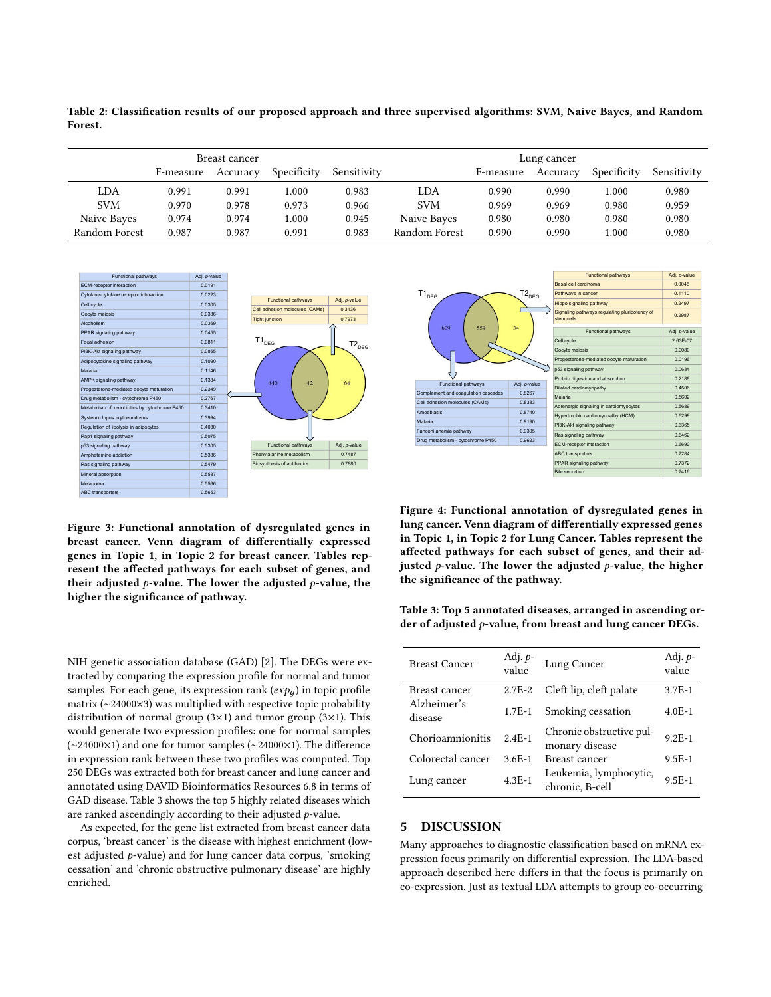<span id="page-5-0"></span>Table 2: Classification results of our proposed approach and three supervised algorithms: SVM, Naive Bayes, and Random Forest.

| Breast cancer |           |          |             | Lung cancer |               |           |          |             |             |
|---------------|-----------|----------|-------------|-------------|---------------|-----------|----------|-------------|-------------|
|               | F-measure | Accuracy | Specificity | Sensitivity |               | F-measure | Accuracy | Specificity | Sensitivity |
| LDA           | 0.991     | 0.991    | 1.000       | 0.983       | LDA           | 0.990     | 0.990    | 1.000       | 0.980       |
| <b>SVM</b>    | 0.970     | 0.978    | 0.973       | 0.966       | <b>SVM</b>    | 0.969     | 0.969    | 0.980       | 0.959       |
| Naive Bayes   | 0.974     | 0.974    | $1.000\,$   | 0.945       | Naive Bayes   | 0.980     | 0.980    | 0.980       | 0.980       |
| Random Forest | 0.987     | 0.987    | 0.991       | 0.983       | Random Forest | 0.990     | 0.990    | 1.000       | 0.980       |

<span id="page-5-1"></span>

Figure 3: Functional annotation of dysregulated genes in breast cancer. Venn diagram of differentially expressed genes in Topic 1, in Topic 2 for breast cancer. Tables represent the affected pathways for each subset of genes, and their adjusted  $p$ -value. The lower the adjusted  $p$ -value, the higher the significance of pathway.

NIH genetic association database (GAD) [\[2\]](#page-6-25). The DEGs were extracted by comparing the expression profile for normal and tumor samples. For each gene, its expression rank  $(exp_q)$  in topic profile matrix (∼24000×3) was multiplied with respective topic probability distribution of normal group  $(3\times1)$  and tumor group  $(3\times1)$ . This would generate two expression profiles: one for normal samples (∼24000×1) and one for tumor samples (∼24000×1). The difference in expression rank between these two profiles was computed. Top 250 DEGs was extracted both for breast cancer and lung cancer and annotated using DAVID Bioinformatics Resources 6.8 in terms of GAD disease. Table [3](#page-5-3) shows the top 5 highly related diseases which are ranked ascendingly according to their adjusted p-value.

As expected, for the gene list extracted from breast cancer data corpus, 'breast cancer' is the disease with highest enrichment (lowest adjusted  $p$ -value) and for lung cancer data corpus, 'smoking cessation' and 'chronic obstructive pulmonary disease' are highly enriched.

<span id="page-5-2"></span>

Figure 4: Functional annotation of dysregulated genes in lung cancer. Venn diagram of differentially expressed genes in Topic 1, in Topic 2 for Lung Cancer. Tables represent the affected pathways for each subset of genes, and their adjusted  $p$ -value. The lower the adjusted  $p$ -value, the higher the significance of the pathway.

<span id="page-5-3"></span>Table 3: Top 5 annotated diseases, arranged in ascending order of adjusted p-value, from breast and lung cancer DEGs.

| <b>Breast Cancer</b>   | Adj. p-<br>value | Lung Cancer                                | Adj. $p-$<br>value |
|------------------------|------------------|--------------------------------------------|--------------------|
| Breast cancer          | $2.7E - 2$       | Cleft lip, cleft palate                    | $3.7E - 1$         |
| Alzheimer's<br>disease | $1.7E-1$         | Smoking cessation                          | $4.0E - 1$         |
| Chorioamnionitis       | $2.4E - 1$       | Chronic obstructive pul-<br>monary disease | $9.2E - 1$         |
| Colorectal cancer      | $3.6E - 1$       | Breast cancer                              | $9.5E - 1$         |
| Lung cancer            | $4.3E-1$         | Leukemia, lymphocytic,<br>chronic, B-cell  | $9.5E - 1$         |

#### 5 DISCUSSION

Many approaches to diagnostic classification based on mRNA expression focus primarily on differential expression. The LDA-based approach described here differs in that the focus is primarily on co-expression. Just as textual LDA attempts to group co-occurring